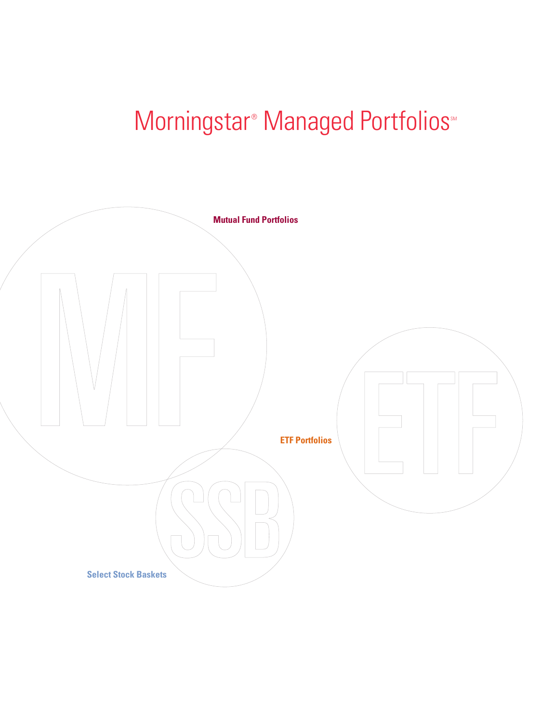# Morningstar<sup>®</sup> Managed Portfolios<sup>®</sup>

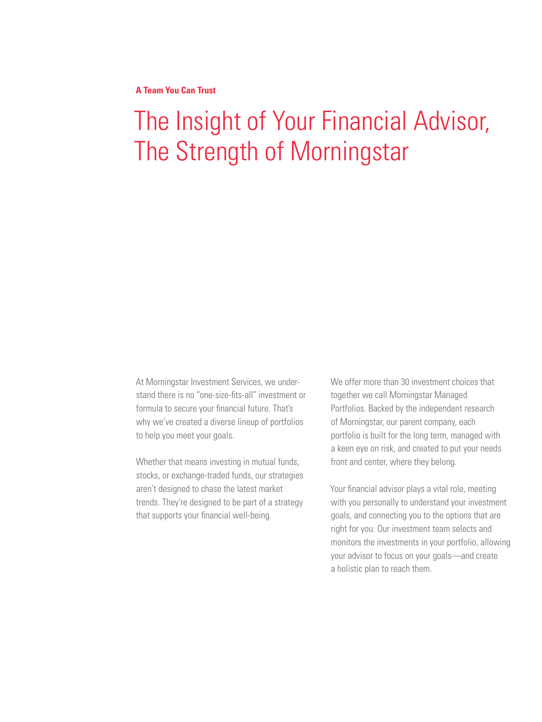**A Team You Can Trust**

# The Insight of Your Financial Advisor, The Strength of Morningstar

At Morningstar Investment Services, we understand there is no "one-size-fits-all" investment or formula to secure your financial future. That's why we've created a diverse lineup of portfolios to help you meet your goals.

Whether that means investing in mutual funds, stocks, or exchange-traded funds, our strategies aren't designed to chase the latest market trends. They're designed to be part of a strategy that supports your financial well-being.

We offer more than 30 investment choices that together we call Morningstar Managed Portfolios. Backed by the independent research of Morningstar, our parent company, each portfolio is built for the long term, managed with a keen eye on risk, and created to put your needs front and center, where they belong.

Your financial advisor plays a vital role, meeting with you personally to understand your investment goals, and connecting you to the options that are right for you. Our investment team selects and monitors the investments in your portfolio, allowing your advisor to focus on your goals—and create a holistic plan to reach them.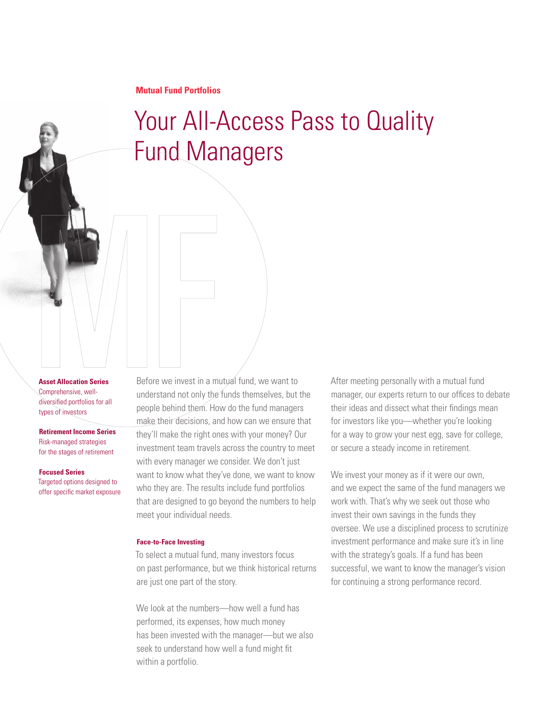# Your All-Access Pass to Quality Fund Managers

**Asset Allocation Series** Comprehensive, welldiversified portfolios for all types of investors

**Retirement Income Series** Risk-managed strategies for the stages of retirement

**Focused Series**  Targeted options designed to offer specific market exposure Before we invest in a mutual fund, we want to understand not only the funds themselves, but the people behind them. How do the fund managers make their decisions, and how can we ensure that they'll make the right ones with your money? Our investment team travels across the country to meet with every manager we consider. We don't just want to know what they've done, we want to know who they are. The results include fund portfolios that are designed to go beyond the numbers to help meet your individual needs.

### **Face-to-Face Investing**

To select a mutual fund, many investors focus on past performance, but we think historical returns are just one part of the story.

We look at the numbers—how well a fund has performed, its expenses, how much money has been invested with the manager—but we also seek to understand how well a fund might fit within a portfolio.

After meeting personally with a mutual fund manager, our experts return to our offices to debate their ideas and dissect what their findings mean for investors like you—whether you're looking for a way to grow your nest egg, save for college, or secure a steady income in retirement.

We invest your money as if it were our own, and we expect the same of the fund managers we work with. That's why we seek out those who invest their own savings in the funds they oversee. We use a disciplined process to scrutinize investment performance and make sure it's in line with the strategy's goals. If a fund has been successful, we want to know the manager's vision for continuing a strong performance record.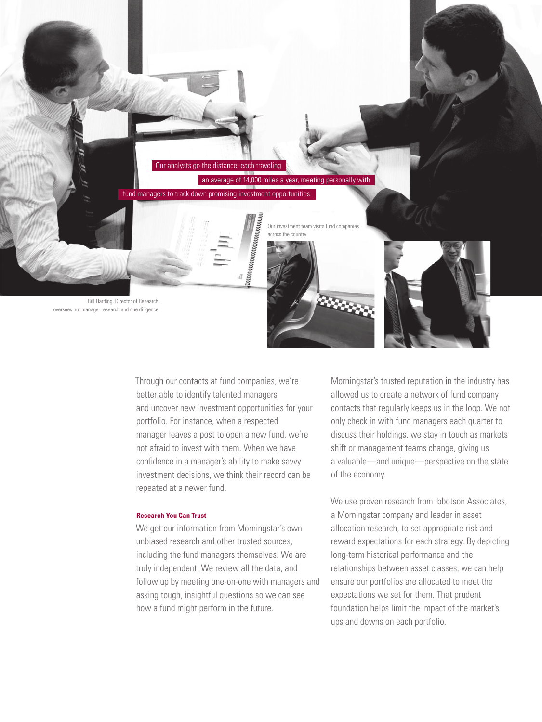

Through our contacts at fund companies, we're better able to identify talented managers and uncover new investment opportunities for your portfolio. For instance, when a respected manager leaves a post to open a new fund, we're not afraid to invest with them. When we have confidence in a manager's ability to make savvy investment decisions, we think their record can be

#### **Research You Can Trust**

repeated at a newer fund.

We get our information from Morningstar's own unbiased research and other trusted sources, including the fund managers themselves. We are truly independent. We review all the data, and follow up by meeting one-on-one with managers and asking tough, insightful questions so we can see how a fund might perform in the future.

Morningstar's trusted reputation in the industry has allowed us to create a network of fund company contacts that regularly keeps us in the loop. We not only check in with fund managers each quarter to discuss their holdings, we stay in touch as markets shift or management teams change, giving us a valuable—and unique—perspective on the state of the economy.

We use proven research from Ibbotson Associates, a Morningstar company and leader in asset allocation research, to set appropriate risk and reward expectations for each strategy. By depicting long-term historical performance and the relationships between asset classes, we can help ensure our portfolios are allocated to meet the expectations we set for them. That prudent foundation helps limit the impact of the market's ups and downs on each portfolio.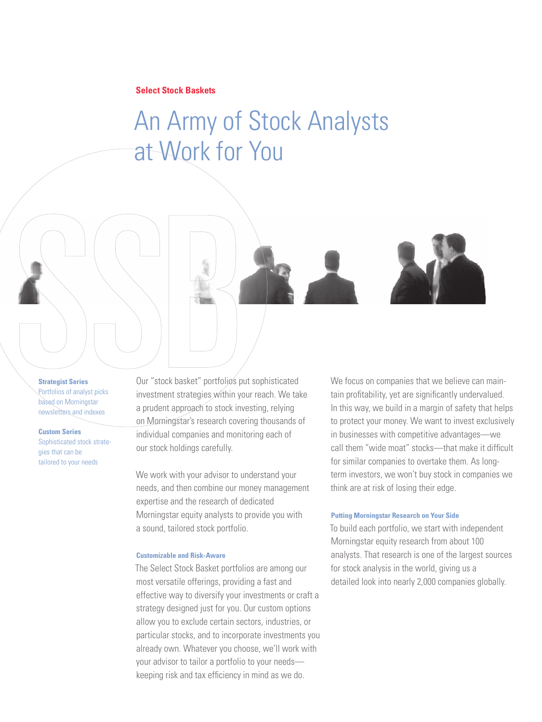## **Select Stock Baskets**

# An Army of Stock Analysts at Work for You

**Strategist Series**  Portfolios of analyst picks based on Morningstar newsletters and indexes

**Custom Series**  Sophisticated stock strategies that can be

tailored to your needs

Our "stock basket" portfolios put sophisticated investment strategies within your reach. We take a prudent approach to stock investing, relying on Morningstar's research covering thousands of individual companies and monitoring each of our stock holdings carefully.

We work with your advisor to understand your needs, and then combine our money management expertise and the research of dedicated Morningstar equity analysts to provide you with a sound, tailored stock portfolio.

#### **Customizable and Risk-Aware**

The Select Stock Basket portfolios are among our most versatile offerings, providing a fast and effective way to diversify your investments or craft a strategy designed just for you. Our custom options allow you to exclude certain sectors, industries, or particular stocks, and to incorporate investments you already own. Whatever you choose, we'll work with your advisor to tailor a portfolio to your needs keeping risk and tax efficiency in mind as we do.

We focus on companies that we believe can maintain profitability, yet are significantly undervalued. In this way, we build in a margin of safety that helps to protect your money. We want to invest exclusively in businesses with competitive advantages—we call them "wide moat" stocks—that make it difficult for similar companies to overtake them. As longterm investors, we won't buy stock in companies we think are at risk of losing their edge.

#### **Putting Morningstar Research on Your Side**

To build each portfolio, we start with independent Morningstar equity research from about 100 analysts. That research is one of the largest sources for stock analysis in the world, giving us a detailed look into nearly 2,000 companies globally.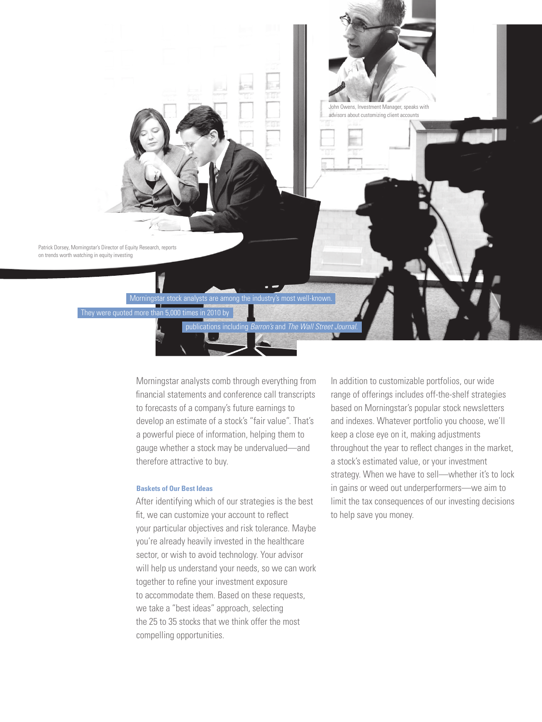

Morningstar analysts comb through everything from financial statements and conference call transcripts to forecasts of a company's future earnings to develop an estimate of a stock's "fair value". That's a powerful piece of information, helping them to gauge whether a stock may be undervalued—and therefore attractive to buy.

### **Baskets of Our Best Ideas**

After identifying which of our strategies is the best fit, we can customize your account to reflect your particular objectives and risk tolerance. Maybe you're already heavily invested in the healthcare sector, or wish to avoid technology. Your advisor will help us understand your needs, so we can work together to refine your investment exposure to accommodate them. Based on these requests, we take a "best ideas" approach, selecting the 25 to 35 stocks that we think offer the most compelling opportunities.

In addition to customizable portfolios, our wide range of offerings includes off-the-shelf strategies based on Morningstar's popular stock newsletters and indexes. Whatever portfolio you choose, we'll keep a close eye on it, making adjustments throughout the year to reflect changes in the market, a stock's estimated value, or your investment strategy. When we have to sell—whether it's to lock in gains or weed out underperformers—we aim to limit the tax consequences of our investing decisions to help save you money.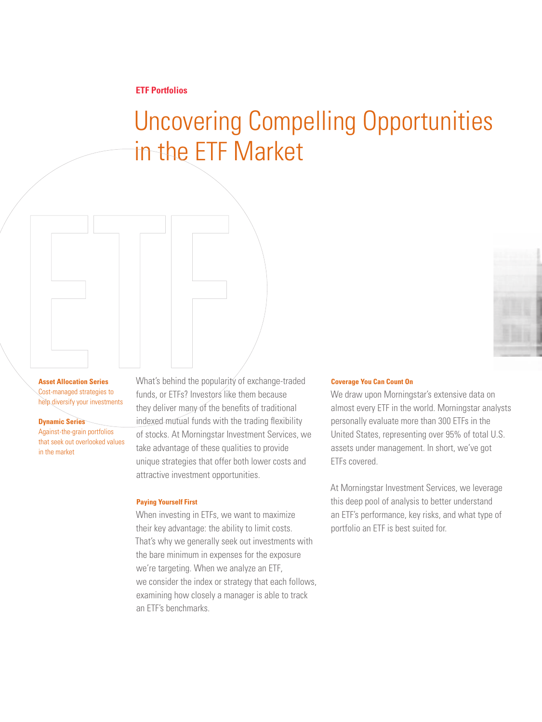# Uncovering Compelling Opportunities in the ETF Market

### **Asset Allocation Series** Cost-managed strategies to help diversify your investments

**Dynamic Series** 

Against-the-grain portfolios that seek out overlooked values in the market

What's behind the popularity of exchange-traded funds, or ETFs? Investors like them because they deliver many of the benefits of traditional indexed mutual funds with the trading flexibility of stocks. At Morningstar Investment Services, we take advantage of these qualities to provide unique strategies that offer both lower costs and attractive investment opportunities.

### **Paying Yourself First**

When investing in ETFs, we want to maximize their key advantage: the ability to limit costs. That's why we generally seek out investments with the bare minimum in expenses for the exposure we're targeting. When we analyze an ETF, we consider the index or strategy that each follows, examining how closely a manager is able to track an ETF's benchmarks.

### **Coverage You Can Count On**

We draw upon Morningstar's extensive data on almost every ETF in the world. Morningstar analysts personally evaluate more than 300 ETFs in the United States, representing over 95% of total U.S. assets under management. In short, we've got ETFs covered.

At Morningstar Investment Services, we leverage this deep pool of analysis to better understand an ETF's performance, key risks, and what type of portfolio an ETF is best suited for.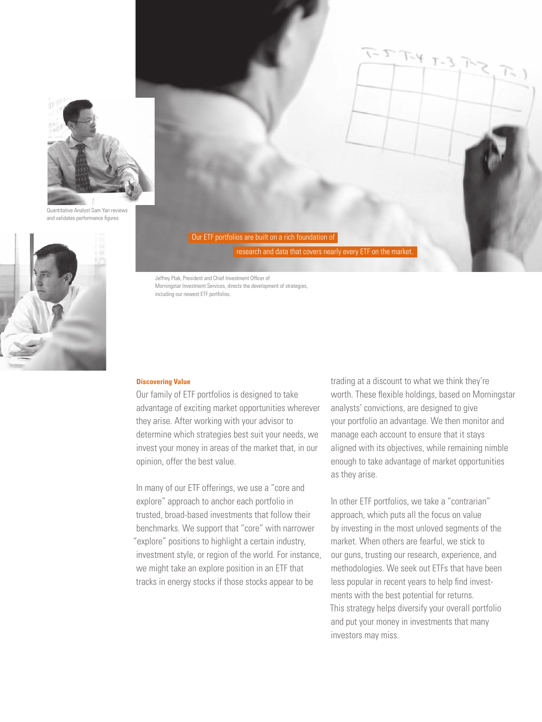

Quantitative Analyst Sam Yan reviews and validates performance figures



Our ETF portfolios are built on a rich foundation of

research and data that covers nearly every ETF on the market.

Jeffrey Ptak, President and Chief Investment Officer of Morningstar Investment Services, directs the development of strategies, including our newest ETF portfolios.

### **Discovering Value**

Our family of ETF portfolios is designed to take advantage of exciting market opportunities wherever they arise. After working with your advisor to determine which strategies best suit your needs, we invest your money in areas of the market that, in our opinion, offer the best value.

In many of our ETF offerings, we use a "core and explore" approach to anchor each portfolio in trusted, broad-based investments that follow their benchmarks. We support that "core" with narrower "explore" positions to highlight a certain industry, investment style, or region of the world. For instance, we might take an explore position in an ETF that tracks in energy stocks if those stocks appear to be

trading at a discount to what we think they're worth. These flexible holdings, based on Morningstar analysts' convictions, are designed to give your portfolio an advantage. We then monitor and manage each account to ensure that it stays aligned with its objectives, while remaining nimble enough to take advantage of market opportunities as they arise.

 $T - 3$ 

In other ETF portfolios, we take a "contrarian" approach, which puts all the focus on value by investing in the most unloved segments of the market. When others are fearful, we stick to our guns, trusting our research, experience, and methodologies. We seek out ETFs that have been less popular in recent years to help find investments with the best potential for returns. This strategy helps diversify your overall portfolio and put your money in investments that many investors may miss.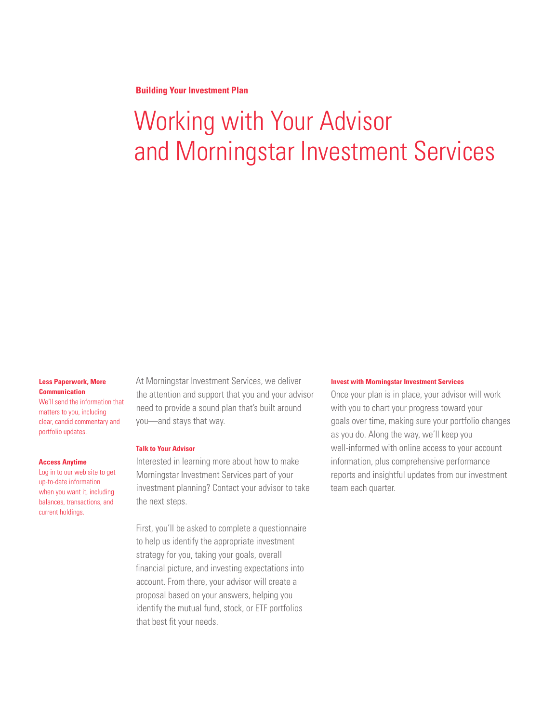**Building Your Investment Plan**

# Working with Your Advisor and Morningstar Investment Services

### **Less Paperwork, More Communication**

We'll send the information that matters to you, including clear, candid commentary and portfolio updates.

#### **Access Anytime**

Log in to our web site to get up-to-date information when you want it, including balances, transactions, and current holdings.

At Morningstar Investment Services, we deliver the attention and support that you and your advisor need to provide a sound plan that's built around you—and stays that way.

#### **Talk to Your Advisor**

Interested in learning more about how to make Morningstar Investment Services part of your investment planning? Contact your advisor to take the next steps.

First, you'll be asked to complete a questionnaire to help us identify the appropriate investment strategy for you, taking your goals, overall financial picture, and investing expectations into account. From there, your advisor will create a proposal based on your answers, helping you identify the mutual fund, stock, or ETF portfolios that best fit your needs.

#### **Invest with Morningstar Investment Services**

Once your plan is in place, your advisor will work with you to chart your progress toward your goals over time, making sure your portfolio changes as you do. Along the way, we'll keep you well-informed with online access to your account information, plus comprehensive performance reports and insightful updates from our investment team each quarter.